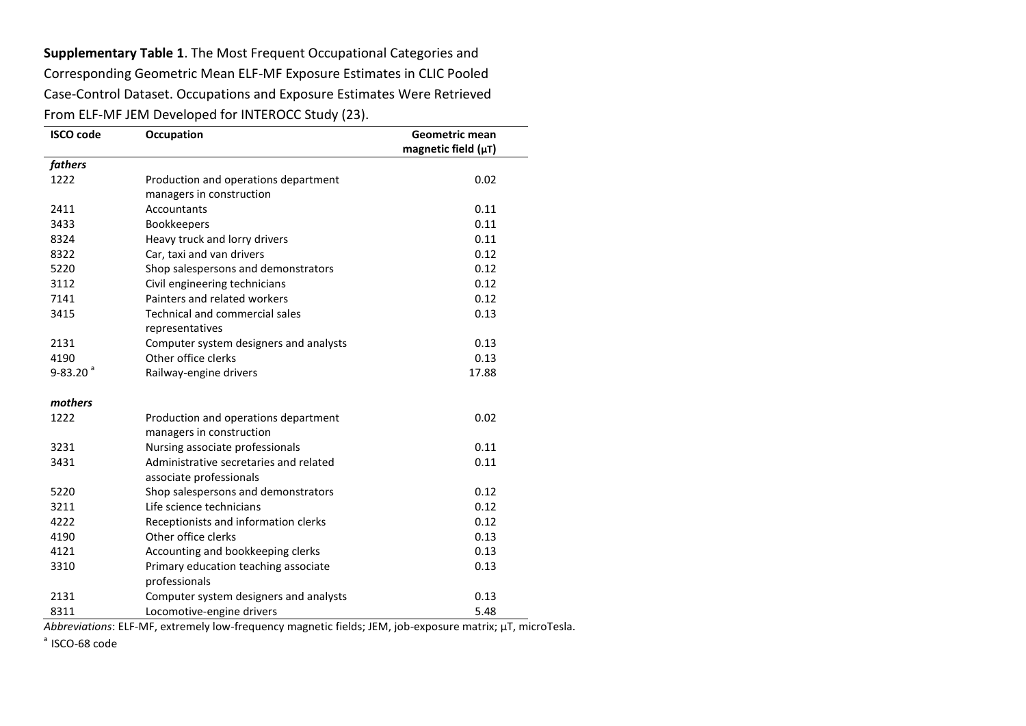**Supplementary Table 1**. The Most Frequent Occupational Categories and Corresponding Geometric Mean ELF-MF Exposure Estimates in CLIC Pooled Case-Control Dataset. Occupations and Exposure Estimates Were Retrieved From ELF-MF JEM Developed for INTEROCC Study (23).

| <b>ISCO code</b>         | Occupation                             | <b>Geometric mean</b>    |
|--------------------------|----------------------------------------|--------------------------|
|                          |                                        | magnetic field $(\mu T)$ |
| fathers                  |                                        |                          |
| 1222                     | Production and operations department   | 0.02                     |
|                          | managers in construction               |                          |
| 2411                     | <b>Accountants</b>                     | 0.11                     |
| 3433                     | <b>Bookkeepers</b>                     | 0.11                     |
| 8324                     | Heavy truck and lorry drivers          | 0.11                     |
| 8322                     | Car, taxi and van drivers              | 0.12                     |
| 5220                     | Shop salespersons and demonstrators    | 0.12                     |
| 3112                     | Civil engineering technicians          | 0.12                     |
| 7141                     | Painters and related workers           | 0.12                     |
| 3415                     | Technical and commercial sales         | 0.13                     |
|                          | representatives                        |                          |
| 2131                     | Computer system designers and analysts | 0.13                     |
| 4190                     | Other office clerks                    | 0.13                     |
| $9 - 83.20$ <sup>a</sup> | Railway-engine drivers                 | 17.88                    |
| mothers                  |                                        |                          |
| 1222                     | Production and operations department   | 0.02                     |
|                          | managers in construction               |                          |
| 3231                     | Nursing associate professionals        | 0.11                     |
| 3431                     | Administrative secretaries and related | 0.11                     |
|                          | associate professionals                |                          |
| 5220                     | Shop salespersons and demonstrators    | 0.12                     |
| 3211                     | Life science technicians               | 0.12                     |
| 4222                     | Receptionists and information clerks   | 0.12                     |
| 4190                     | Other office clerks                    | 0.13                     |
| 4121                     | Accounting and bookkeeping clerks      | 0.13                     |
| 3310                     | Primary education teaching associate   | 0.13                     |
|                          | professionals                          |                          |
| 2131                     | Computer system designers and analysts | 0.13                     |
| 8311                     | Locomotive-engine drivers              | 5.48                     |

*Abbreviations*: ELF-MF, extremely low-frequency magnetic fields; JEM, job-exposure matrix; µT, microTesla.

 $a$  ISCO-68 code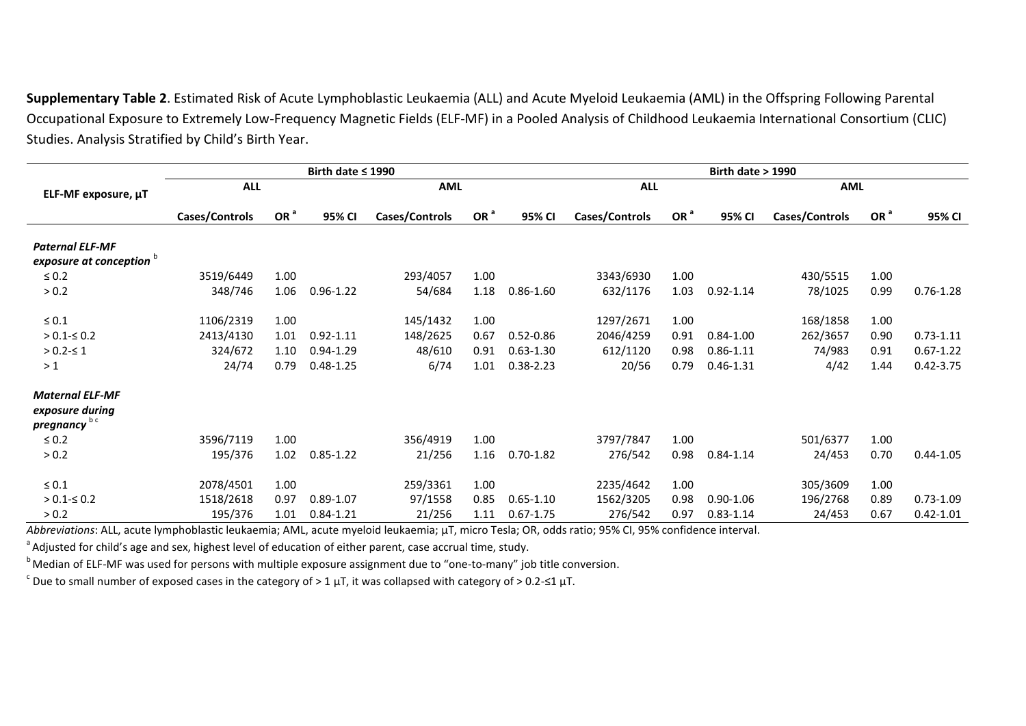**Supplementary Table 2**. Estimated Risk of Acute Lymphoblastic Leukaemia (ALL) and Acute Myeloid Leukaemia (AML) in the Offspring Following Parental Occupational Exposure to Extremely Low-Frequency Magnetic Fields (ELF-MF) in a Pooled Analysis of Childhood Leukaemia International Consortium (CLIC) Studies. Analysis Stratified by Child's Birth Year.

|                                                                       |                |                 | Birth date $\leq 1990$ |                |                 | <b>Birth date &gt; 1990</b> |                |                 |               |                |                 |               |
|-----------------------------------------------------------------------|----------------|-----------------|------------------------|----------------|-----------------|-----------------------------|----------------|-----------------|---------------|----------------|-----------------|---------------|
| ELF-MF exposure, µT                                                   | <b>ALL</b>     |                 |                        | <b>AML</b>     |                 |                             | <b>ALL</b>     |                 |               | <b>AML</b>     |                 |               |
|                                                                       | Cases/Controls | OR <sup>a</sup> | 95% CI                 | Cases/Controls | OR <sup>a</sup> | 95% CI                      | Cases/Controls | OR <sup>a</sup> | 95% CI        | Cases/Controls | OR <sup>a</sup> | 95% CI        |
| <b>Paternal ELF-MF</b>                                                |                |                 |                        |                |                 |                             |                |                 |               |                |                 |               |
| exposure at conception <b>b</b>                                       |                |                 |                        |                |                 |                             |                |                 |               |                |                 |               |
| $\leq 0.2$                                                            | 3519/6449      | 1.00            |                        | 293/4057       | 1.00            |                             | 3343/6930      | 1.00            |               | 430/5515       | 1.00            |               |
| > 0.2                                                                 | 348/746        | 1.06            | $0.96 - 1.22$          | 54/684         | 1.18            | $0.86 - 1.60$               | 632/1176       | 1.03            | $0.92 - 1.14$ | 78/1025        | 0.99            | $0.76 - 1.28$ |
| $\leq 0.1$                                                            | 1106/2319      | 1.00            |                        | 145/1432       | 1.00            |                             | 1297/2671      | 1.00            |               | 168/1858       | 1.00            |               |
| $> 0.1 - \leq 0.2$                                                    | 2413/4130      | 1.01            | $0.92 - 1.11$          | 148/2625       | 0.67            | $0.52 - 0.86$               | 2046/4259      | 0.91            | $0.84 - 1.00$ | 262/3657       | 0.90            | $0.73 - 1.11$ |
| $> 0.2 - 51$                                                          | 324/672        | 1.10            | $0.94 - 1.29$          | 48/610         | 0.91            | $0.63 - 1.30$               | 612/1120       | 0.98            | $0.86 - 1.11$ | 74/983         | 0.91            | $0.67 - 1.22$ |
| >1                                                                    | 24/74          | 0.79            | $0.48 - 1.25$          | 6/74           | 1.01            | $0.38 - 2.23$               | 20/56          | 0.79            | $0.46 - 1.31$ | 4/42           | 1.44            | $0.42 - 3.75$ |
| <b>Maternal ELF-MF</b><br>exposure during<br>pregnancy <sup>b c</sup> |                |                 |                        |                |                 |                             |                |                 |               |                |                 |               |
| $\leq 0.2$                                                            | 3596/7119      | 1.00            |                        | 356/4919       | 1.00            |                             | 3797/7847      | 1.00            |               | 501/6377       | 1.00            |               |
| > 0.2                                                                 | 195/376        | 1.02            | $0.85 - 1.22$          | 21/256         | 1.16            | $0.70 - 1.82$               | 276/542        | 0.98            | $0.84 - 1.14$ | 24/453         | 0.70            | $0.44 - 1.05$ |
| $\leq 0.1$                                                            | 2078/4501      | 1.00            |                        | 259/3361       | 1.00            |                             | 2235/4642      | 1.00            |               | 305/3609       | 1.00            |               |
| $> 0.1 - \leq 0.2$                                                    | 1518/2618      | 0.97            | $0.89 - 1.07$          | 97/1558        | 0.85            | $0.65 - 1.10$               | 1562/3205      | 0.98            | $0.90 - 1.06$ | 196/2768       | 0.89            | $0.73 - 1.09$ |
| > 0.2                                                                 | 195/376        | 1.01            | $0.84 - 1.21$          | 21/256         | 1.11            | $0.67 - 1.75$               | 276/542        | 0.97            | $0.83 - 1.14$ | 24/453         | 0.67            | $0.42 - 1.01$ |

*Abbreviations*: ALL, acute lymphoblastic leukaemia; AML, acute myeloid leukaemia; µT, micro Tesla; OR, odds ratio; 95% CI, 95% confidence interval.

<sup>a</sup> Adjusted for child's age and sex, highest level of education of either parent, case accrual time, study.

<sup>b</sup> Median of ELF-MF was used for persons with multiple exposure assignment due to "one-to-many" job title conversion.

 $\rm c$  Due to small number of exposed cases in the category of > 1  $\rm \mu T$ , it was collapsed with category of > 0.2-≤1  $\rm \mu T$ .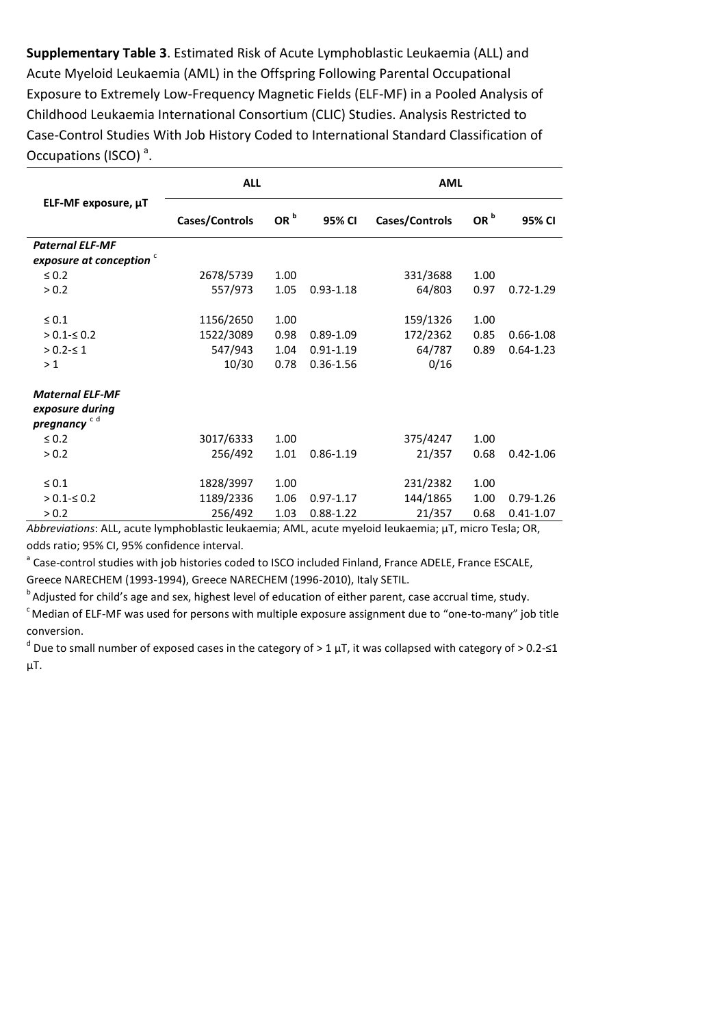**Supplementary Table 3**. Estimated Risk of Acute Lymphoblastic Leukaemia (ALL) and Acute Myeloid Leukaemia (AML) in the Offspring Following Parental Occupational Exposure to Extremely Low-Frequency Magnetic Fields (ELF-MF) in a Pooled Analysis of Childhood Leukaemia International Consortium (CLIC) Studies. Analysis Restricted to Case-Control Studies With Job History Coded to International Standard Classification of Occupations (ISCO)<sup>a</sup>.

|                                  | <b>ALL</b>     |                 |               | <b>AML</b>     |                 |               |  |  |
|----------------------------------|----------------|-----------------|---------------|----------------|-----------------|---------------|--|--|
| ELF-MF exposure, µT              | Cases/Controls | OR <sup>b</sup> | 95% CI        | Cases/Controls | OR <sup>b</sup> | 95% CI        |  |  |
| <b>Paternal ELF-MF</b>           |                |                 |               |                |                 |               |  |  |
| exposure at conception $\degree$ |                |                 |               |                |                 |               |  |  |
| $\leq 0.2$                       | 2678/5739      | 1.00            |               | 331/3688       | 1.00            |               |  |  |
| > 0.2                            | 557/973        | 1.05            | $0.93 - 1.18$ | 64/803         | 0.97            | $0.72 - 1.29$ |  |  |
| $\leq 0.1$                       | 1156/2650      | 1.00            |               | 159/1326       | 1.00            |               |  |  |
| $> 0.1 \le 0.2$                  | 1522/3089      | 0.98            | $0.89 - 1.09$ | 172/2362       | 0.85            | $0.66 - 1.08$ |  |  |
| $> 0.2 - 51$                     | 547/943        | 1.04            | $0.91 - 1.19$ | 64/787         | 0.89            | $0.64 - 1.23$ |  |  |
| >1                               | 10/30          | 0.78            | $0.36 - 1.56$ | 0/16           |                 |               |  |  |
| <b>Maternal ELF-MF</b>           |                |                 |               |                |                 |               |  |  |
| exposure during                  |                |                 |               |                |                 |               |  |  |
| pregnancy <sup>cd</sup>          |                |                 |               |                |                 |               |  |  |
| $\leq 0.2$                       | 3017/6333      | 1.00            |               | 375/4247       | 1.00            |               |  |  |
| > 0.2                            | 256/492        | 1.01            | $0.86 - 1.19$ | 21/357         | 0.68            | $0.42 - 1.06$ |  |  |
| $\leq 0.1$                       | 1828/3997      | 1.00            |               | 231/2382       | 1.00            |               |  |  |
| $> 0.1 - \leq 0.2$               | 1189/2336      | 1.06            | $0.97 - 1.17$ | 144/1865       | 1.00            | $0.79 - 1.26$ |  |  |
| > 0.2                            | 256/492        | 1.03            | $0.88 - 1.22$ | 21/357         | 0.68            | $0.41 - 1.07$ |  |  |

*Abbreviations*: ALL, acute lymphoblastic leukaemia; AML, acute myeloid leukaemia; µT, micro Tesla; OR, odds ratio; 95% CI, 95% confidence interval.

<sup>a</sup> Case-control studies with job histories coded to ISCO included Finland, France ADELE, France ESCALE, Greece NARECHEM (1993-1994), Greece NARECHEM (1996-2010), Italy SETIL.

 $b$  Adjusted for child's age and sex, highest level of education of either parent, case accrual time, study.  $c$ Median of ELF-MF was used for persons with multiple exposure assignment due to "one-to-many" job title conversion.

 $^d$  Due to small number of exposed cases in the category of > 1  $\mu$ T, it was collapsed with category of > 0.2-≤1  $\mu$ T.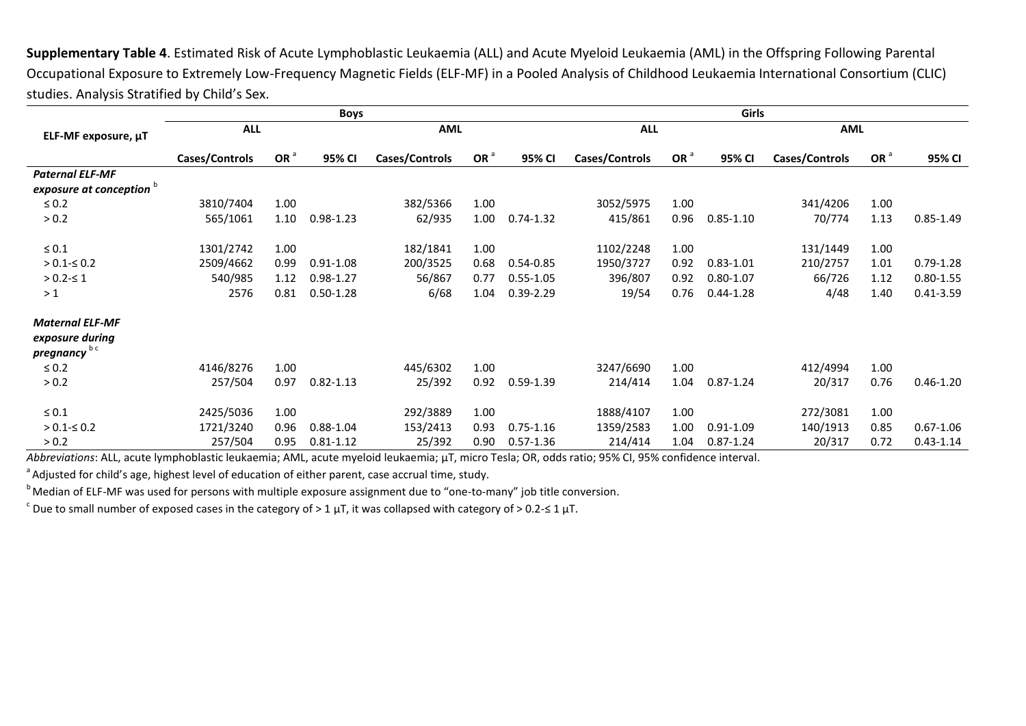**Supplementary Table 4**. Estimated Risk of Acute Lymphoblastic Leukaemia (ALL) and Acute Myeloid Leukaemia (AML) in the Offspring Following Parental Occupational Exposure to Extremely Low-Frequency Magnetic Fields (ELF-MF) in a Pooled Analysis of Childhood Leukaemia International Consortium (CLIC) studies. Analysis Stratified by Child's Sex.

|                                     |                | <b>Boys</b> | Girls         |                |                 |               |                |                 |               |                |                 |               |
|-------------------------------------|----------------|-------------|---------------|----------------|-----------------|---------------|----------------|-----------------|---------------|----------------|-----------------|---------------|
| ELF-MF exposure, µT                 | <b>ALL</b>     |             |               | <b>AML</b>     |                 |               | <b>ALL</b>     |                 |               | <b>AML</b>     |                 |               |
|                                     | Cases/Controls | OR $a$      | 95% CI        | Cases/Controls | OR <sup>a</sup> | 95% CI        | Cases/Controls | OR <sup>a</sup> | 95% CI        | Cases/Controls | OR <sup>a</sup> | 95% CI        |
| <b>Paternal ELF-MF</b>              |                |             |               |                |                 |               |                |                 |               |                |                 |               |
| exposure at conception <sup>b</sup> |                |             |               |                |                 |               |                |                 |               |                |                 |               |
| $\leq 0.2$                          | 3810/7404      | 1.00        |               | 382/5366       | 1.00            |               | 3052/5975      | 1.00            |               | 341/4206       | 1.00            |               |
| > 0.2                               | 565/1061       | 1.10        | $0.98 - 1.23$ | 62/935         | 1.00            | $0.74 - 1.32$ | 415/861        | 0.96            | $0.85 - 1.10$ | 70/774         | 1.13            | $0.85 - 1.49$ |
| $\leq 0.1$                          | 1301/2742      | 1.00        |               | 182/1841       | 1.00            |               | 1102/2248      | 1.00            |               | 131/1449       | 1.00            |               |
| $> 0.1 - \leq 0.2$                  | 2509/4662      | 0.99        | $0.91 - 1.08$ | 200/3525       | 0.68            | $0.54 - 0.85$ | 1950/3727      | 0.92            | $0.83 - 1.01$ | 210/2757       | 1.01            | $0.79 - 1.28$ |
| $> 0.2 - 51$                        | 540/985        | 1.12        | $0.98 - 1.27$ | 56/867         | 0.77            | $0.55 - 1.05$ | 396/807        | 0.92            | $0.80 - 1.07$ | 66/726         | 1.12            | $0.80 - 1.55$ |
| >1                                  | 2576           | 0.81        | $0.50 - 1.28$ | 6/68           | 1.04            | $0.39 - 2.29$ | 19/54          | 0.76            | $0.44 - 1.28$ | 4/48           | 1.40            | $0.41 - 3.59$ |
| <b>Maternal ELF-MF</b>              |                |             |               |                |                 |               |                |                 |               |                |                 |               |
| exposure during                     |                |             |               |                |                 |               |                |                 |               |                |                 |               |
| pregnancy <sup>b c</sup>            |                |             |               |                |                 |               |                |                 |               |                |                 |               |
| $\leq 0.2$                          | 4146/8276      | 1.00        |               | 445/6302       | 1.00            |               | 3247/6690      | 1.00            |               | 412/4994       | 1.00            |               |
| > 0.2                               | 257/504        | 0.97        | $0.82 - 1.13$ | 25/392         | 0.92            | $0.59 - 1.39$ | 214/414        | 1.04            | $0.87 - 1.24$ | 20/317         | 0.76            | $0.46 - 1.20$ |
| $\leq 0.1$                          | 2425/5036      | 1.00        |               | 292/3889       | 1.00            |               | 1888/4107      | 1.00            |               | 272/3081       | 1.00            |               |
| $> 0.1 - \leq 0.2$                  | 1721/3240      | 0.96        | $0.88 - 1.04$ | 153/2413       | 0.93            | $0.75 - 1.16$ | 1359/2583      | 1.00            | $0.91 - 1.09$ | 140/1913       | 0.85            | $0.67 - 1.06$ |
| > 0.2                               | 257/504        | 0.95        | $0.81 - 1.12$ | 25/392         | 0.90            | $0.57 - 1.36$ | 214/414        | 1.04            | $0.87 - 1.24$ | 20/317         | 0.72            | $0.43 - 1.14$ |

*Abbreviations*: ALL, acute lymphoblastic leukaemia; AML, acute myeloid leukaemia; µT, micro Tesla; OR, odds ratio; 95% CI, 95% confidence interval.

<sup>a</sup> Adjusted for child's age, highest level of education of either parent, case accrual time, study.

<sup>b</sup> Median of ELF-MF was used for persons with multiple exposure assignment due to "one-to-many" job title conversion.

 $\rm c$  Due to small number of exposed cases in the category of > 1  $\rm \mu T$ , it was collapsed with category of > 0.2-≤ 1  $\rm \mu T$ .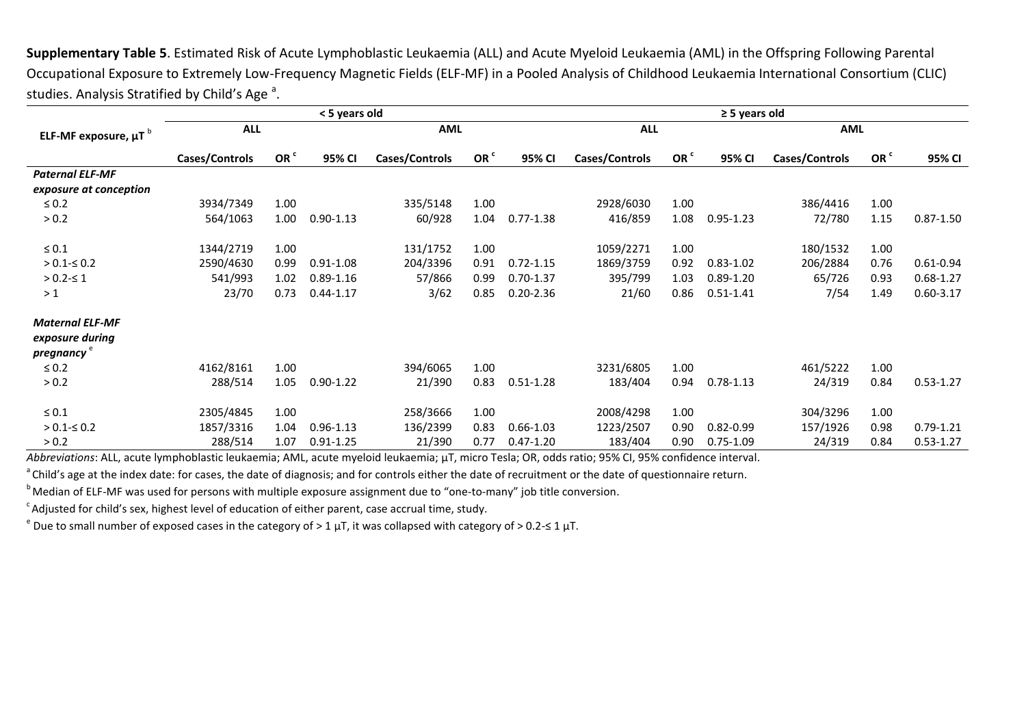**Supplementary Table 5**. Estimated Risk of Acute Lymphoblastic Leukaemia (ALL) and Acute Myeloid Leukaemia (AML) in the Offspring Following Parental Occupational Exposure to Extremely Low-Frequency Magnetic Fields (ELF-MF) in a Pooled Analysis of Childhood Leukaemia International Consortium (CLIC) studies. Analysis Stratified by Child's Age<sup>a</sup>.

|                                       |                |                 | < 5 years old |                |                 | $\geq$ 5 years old |                |                 |               |                |                 |               |
|---------------------------------------|----------------|-----------------|---------------|----------------|-----------------|--------------------|----------------|-----------------|---------------|----------------|-----------------|---------------|
| ELF-MF exposure, $\mu T$ <sup>b</sup> | <b>ALL</b>     |                 |               | <b>AML</b>     |                 |                    | <b>ALL</b>     |                 |               | <b>AML</b>     |                 |               |
|                                       | Cases/Controls | OR <sup>c</sup> | 95% CI        | Cases/Controls | OR <sup>c</sup> | 95% CI             | Cases/Controls | OR <sup>c</sup> | 95% CI        | Cases/Controls | OR <sup>c</sup> | 95% CI        |
| <b>Paternal ELF-MF</b>                |                |                 |               |                |                 |                    |                |                 |               |                |                 |               |
| exposure at conception                |                |                 |               |                |                 |                    |                |                 |               |                |                 |               |
| $\leq 0.2$                            | 3934/7349      | 1.00            |               | 335/5148       | 1.00            |                    | 2928/6030      | 1.00            |               | 386/4416       | 1.00            |               |
| > 0.2                                 | 564/1063       | 1.00            | $0.90 - 1.13$ | 60/928         | 1.04            | $0.77 - 1.38$      | 416/859        | 1.08            | $0.95 - 1.23$ | 72/780         | 1.15            | $0.87 - 1.50$ |
| $\leq 0.1$                            | 1344/2719      | 1.00            |               | 131/1752       | 1.00            |                    | 1059/2271      | 1.00            |               | 180/1532       | 1.00            |               |
| $> 0.1 - \leq 0.2$                    | 2590/4630      | 0.99            | $0.91 - 1.08$ | 204/3396       | 0.91            | $0.72 - 1.15$      | 1869/3759      | 0.92            | $0.83 - 1.02$ | 206/2884       | 0.76            | $0.61 - 0.94$ |
| $> 0.2 - 51$                          | 541/993        | 1.02            | $0.89 - 1.16$ | 57/866         | 0.99            | $0.70 - 1.37$      | 395/799        | 1.03            | $0.89 - 1.20$ | 65/726         | 0.93            | $0.68 - 1.27$ |
| >1                                    | 23/70          | 0.73            | $0.44 - 1.17$ | 3/62           | 0.85            | $0.20 - 2.36$      | 21/60          | 0.86            | $0.51 - 1.41$ | 7/54           | 1.49            | $0.60 - 3.17$ |
| <b>Maternal ELF-MF</b>                |                |                 |               |                |                 |                    |                |                 |               |                |                 |               |
| exposure during                       |                |                 |               |                |                 |                    |                |                 |               |                |                 |               |
| pregnancy <sup>e</sup>                |                |                 |               |                |                 |                    |                |                 |               |                |                 |               |
| $\leq 0.2$                            | 4162/8161      | 1.00            |               | 394/6065       | 1.00            |                    | 3231/6805      | 1.00            |               | 461/5222       | 1.00            |               |
| > 0.2                                 | 288/514        | 1.05            | $0.90 - 1.22$ | 21/390         | 0.83            | $0.51 - 1.28$      | 183/404        | 0.94            | $0.78 - 1.13$ | 24/319         | 0.84            | $0.53 - 1.27$ |
| $\leq 0.1$                            | 2305/4845      | 1.00            |               | 258/3666       | 1.00            |                    | 2008/4298      | 1.00            |               | 304/3296       | 1.00            |               |
| $> 0.1 - \leq 0.2$                    | 1857/3316      | 1.04            | $0.96 - 1.13$ | 136/2399       | 0.83            | $0.66 - 1.03$      | 1223/2507      | 0.90            | $0.82 - 0.99$ | 157/1926       | 0.98            | $0.79 - 1.21$ |
| > 0.2                                 | 288/514        | 1.07            | $0.91 - 1.25$ | 21/390         | 0.77            | $0.47 - 1.20$      | 183/404        | 0.90            | $0.75 - 1.09$ | 24/319         | 0.84            | $0.53 - 1.27$ |

*Abbreviations*: ALL, acute lymphoblastic leukaemia; AML, acute myeloid leukaemia; µT, micro Tesla; OR, odds ratio; 95% CI, 95% confidence interval.

<sup>a</sup>Child's age at the index date: for cases, the date of diagnosis; and for controls either the date of recruitment or the date of questionnaire return.

<sup>b</sup> Median of ELF-MF was used for persons with multiple exposure assignment due to "one-to-many" job title conversion.

 $\textdegree$ Adjusted for child's sex, highest level of education of either parent, case accrual time, study.

 $e$  Due to small number of exposed cases in the category of > 1  $\mu$ T, it was collapsed with category of > 0.2-≤ 1  $\mu$ T.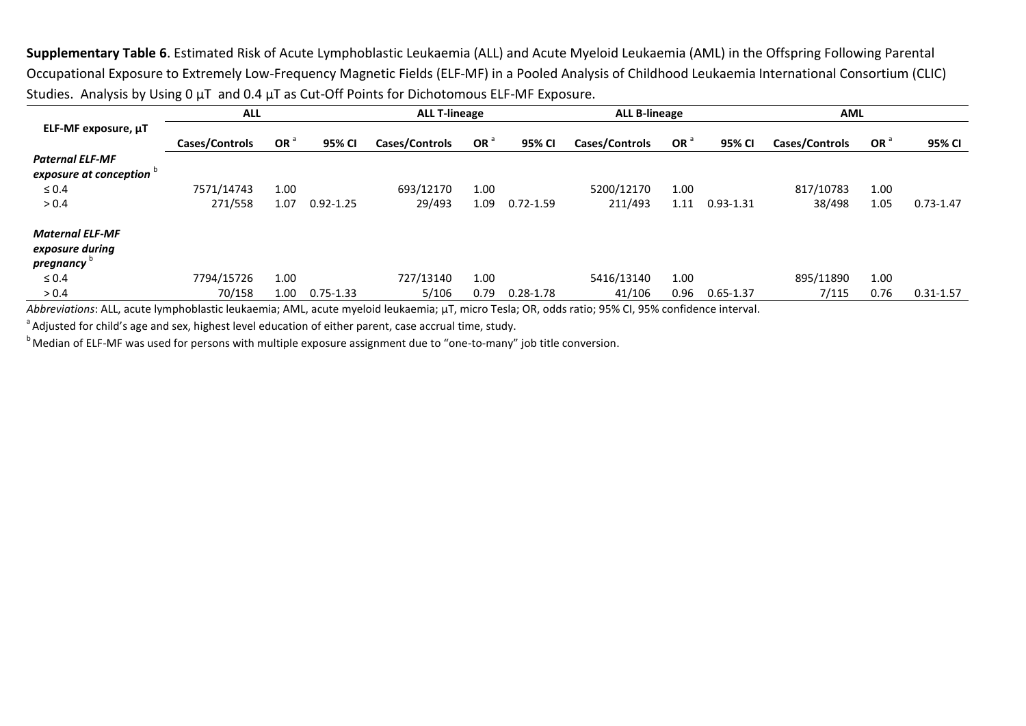**Supplementary Table 6**. Estimated Risk of Acute Lymphoblastic Leukaemia (ALL) and Acute Myeloid Leukaemia (AML) in the Offspring Following Parental Occupational Exposure to Extremely Low-Frequency Magnetic Fields (ELF-MF) in a Pooled Analysis of Childhood Leukaemia International Consortium (CLIC) Studies. Analysis by Using 0 µT and 0.4 µT as Cut-Off Points for Dichotomous ELF-MF Exposure.

|                                                        | <b>ALL</b>     |                 |               | <b>ALL T-lineage</b> |                 |               | <b>ALL B-lineage</b> |                 |               | <b>AML</b>     |      |               |
|--------------------------------------------------------|----------------|-----------------|---------------|----------------------|-----------------|---------------|----------------------|-----------------|---------------|----------------|------|---------------|
| ELF-MF exposure, µT                                    | Cases/Controls | OR <sup>a</sup> | 95% CI        | Cases/Controls       | OR <sup>d</sup> | 95% CI        | Cases/Controls       | OR <sup>d</sup> | 95% CI        | Cases/Controls | OR ' | 95% CI        |
| <b>Paternal ELF-MF</b><br>exposure at conception       |                |                 |               |                      |                 |               |                      |                 |               |                |      |               |
| $\leq 0.4$                                             | 7571/14743     | 1.00            |               | 693/12170            | 1.00            |               | 5200/12170           | 1.00            |               | 817/10783      | 1.00 |               |
| > 0.4                                                  | 271/558        | 1.07            | $0.92 - 1.25$ | 29/493               | 1.09            | $0.72 - 1.59$ | 211/493              | 1.11            | $0.93 - 1.31$ | 38/498         | 1.05 | $0.73 - 1.47$ |
| <b>Maternal ELF-MF</b><br>exposure during<br>pregnancy |                |                 |               |                      |                 |               |                      |                 |               |                |      |               |
| $\leq 0.4$                                             | 7794/15726     | 1.00            |               | 727/13140            | 1.00            |               | 5416/13140           | 1.00            |               | 895/11890      | 1.00 |               |
| > 0.4                                                  | 70/158         | 1.00            | $0.75 - 1.33$ | 5/106                | 0.79            | $0.28 - 1.78$ | 41/106               | 0.96            | $0.65 - 1.37$ | 7/115          | 0.76 | $0.31 - 1.57$ |

*Abbreviations*: ALL, acute lymphoblastic leukaemia; AML, acute myeloid leukaemia; µT, micro Tesla; OR, odds ratio; 95% CI, 95% confidence interval.

<sup>a</sup> Adjusted for child's age and sex, highest level education of either parent, case accrual time, study.

<sup>b</sup> Median of ELF-MF was used for persons with multiple exposure assignment due to "one-to-many" job title conversion.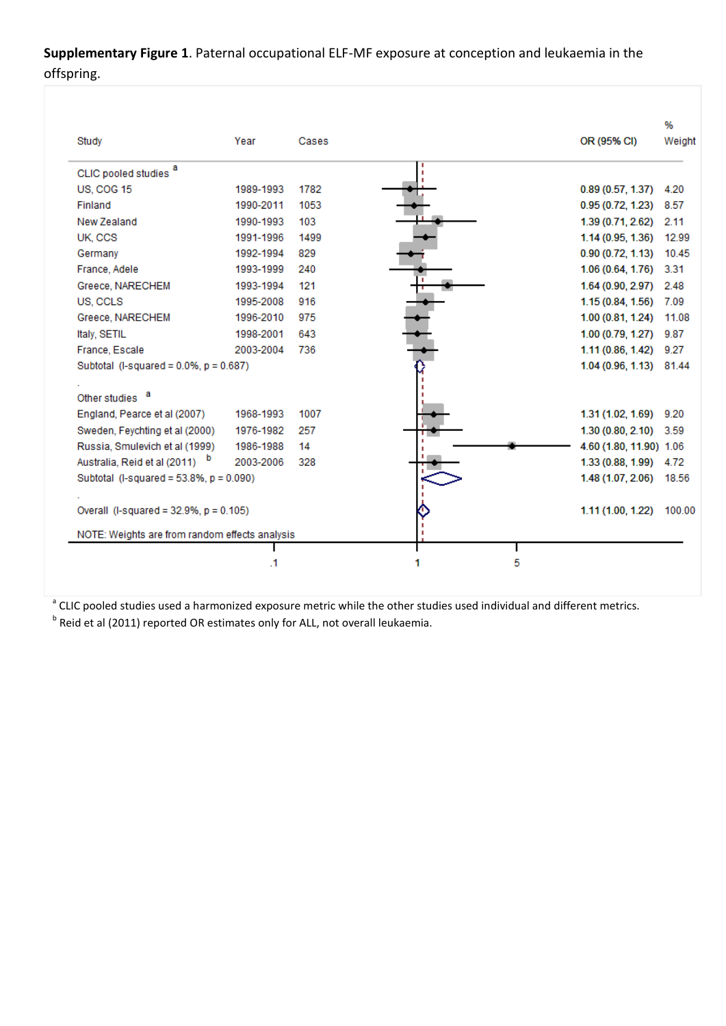## **Supplementary Figure 1**. Paternal occupational ELF-MF exposure at conception and leukaemia in the offspring.

| Study                                          | Year      | Cases | OR (95% CI)             | %<br>Weight |
|------------------------------------------------|-----------|-------|-------------------------|-------------|
| CLIC pooled studies <sup>a</sup>               |           |       |                         |             |
| <b>US, COG 15</b>                              | 1989-1993 | 1782  | 0.89(0.57, 1.37)        | 4.20        |
| Finland                                        | 1990-2011 | 1053  | 0.95(0.72, 1.23)        | 8.57        |
| New Zealand                                    | 1990-1993 | 103   | 1.39 (0.71, 2.62)       | 2.11        |
| UK, CCS                                        | 1991-1996 | 1499  | 1.14 (0.95, 1.36)       | 12.99       |
| Germany                                        | 1992-1994 | 829   | 0.90(0.72, 1.13)        | 10.45       |
| France, Adele                                  | 1993-1999 | 240   | $1.06(0.64, 1.76)$ 3.31 |             |
| Greece, NARECHEM                               | 1993-1994 | 121   | 1.64(0.90, 2.97)        | 2.48        |
| US, CCLS                                       | 1995-2008 | 916   | 1.15(0.84, 1.56)        | 7.09        |
| Greece, NARECHEM                               | 1996-2010 | 975   | 1.00 (0.81, 1.24)       | 11.08       |
| Italy, SETIL                                   | 1998-2001 | 643   | 1.00(0.79, 1.27)        | 9.87        |
| France, Escale                                 | 2003-2004 | 736   | 1.11(0.86, 1.42)        | 9.27        |
| Subtotal (I-squared = $0.0\%$ , $p = 0.687$ )  |           |       | 1.04 (0.96, 1.13) 81.44 |             |
| a<br>Other studies                             |           |       |                         |             |
| England, Pearce et al (2007)                   | 1968-1993 | 1007  | $1.31(1.02, 1.69)$ 9.20 |             |
| Sweden, Feychting et al (2000)                 | 1976-1982 | 257   | $1.30(0.80, 2.10)$ 3.59 |             |
| Russia, Smulevich et al (1999)                 | 1986-1988 | 14    | 4.60 (1.80, 11.90) 1.06 |             |
| Australia, Reid et al (2011) b                 | 2003-2006 | 328   | $1.33(0.88, 1.99)$ 4.72 |             |
| Subtotal (I-squared = $53.8\%$ , $p = 0.090$ ) |           |       | 1.48 (1.07, 2.06) 18.56 |             |
| Overall (I-squared = $32.9\%$ , $p = 0.105$ )  |           |       | 1.11 (1.00, 1.22)       | 100.00      |
| NOTE: Weights are from random effects analysis |           |       |                         |             |
|                                                | .1        |       | 5                       |             |

<sup>a</sup> CLIC pooled studies used a harmonized exposure metric while the other studies used individual and different metrics.

<sup>b</sup> Reid et al (2011) reported OR estimates only for ALL, not overall leukaemia.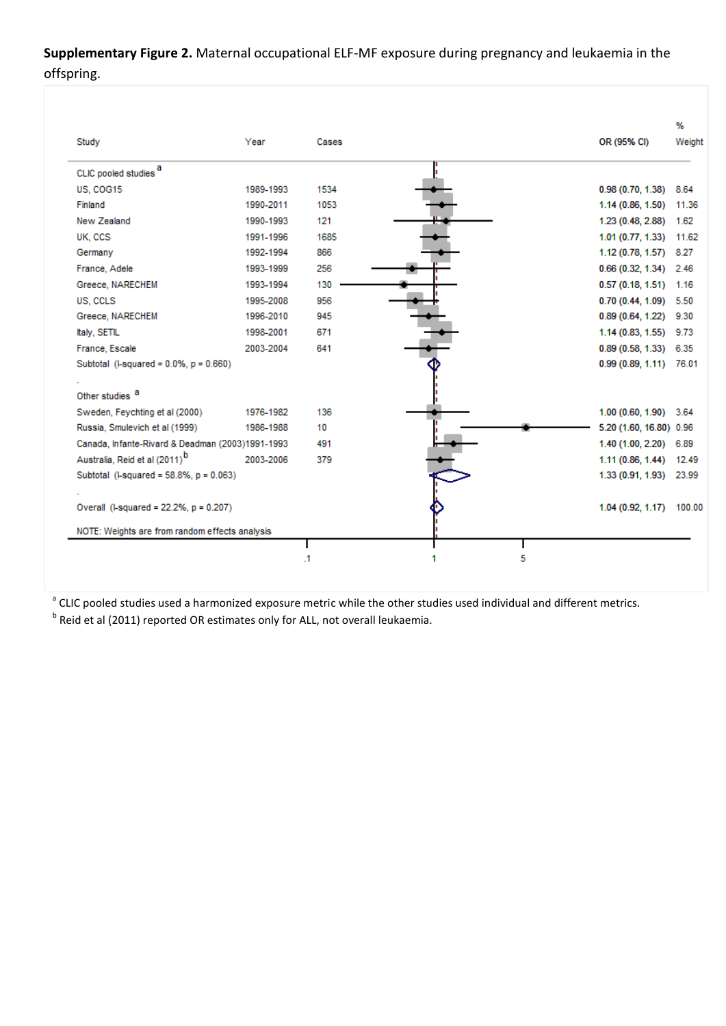**Supplementary Figure 2.** Maternal occupational ELF-MF exposure during pregnancy and leukaemia in the offspring.

| Study                                            | Year      | Cases | OR (95% CI)             | Weight                   |
|--------------------------------------------------|-----------|-------|-------------------------|--------------------------|
| CLIC pooled studies <sup>a</sup>                 |           |       |                         |                          |
| US, COG15                                        | 1989-1993 | 1534  | $0.98(0.70, 1.38)$ 8.64 |                          |
| Finland                                          | 1990-2011 | 1053  |                         | 1.14 (0.86, 1.50) 11.36  |
| New Zealand                                      | 1990-1993 | 121   | 1.23 (0.48, 2.88) 1.62  |                          |
| UK, CCS                                          | 1991-1996 | 1685  |                         | 1.01 (0.77, 1.33) 11.62  |
| Germany                                          | 1992-1994 | 866   | $1.12(0.78, 1.57)$ 8.27 |                          |
| France, Adele                                    | 1993-1999 | 256   | $0.66(0.32, 1.34)$ 2.46 |                          |
| Greece, NARECHEM                                 | 1993-1994 | 130   | $0.57(0.18, 1.51)$ 1.16 |                          |
| US. CCLS                                         | 1995-2008 | 956   | $0.70(0.44, 1.09)$ 5.50 |                          |
| Greece, NARECHEM                                 | 1996-2010 | 945   | 0.89 (0.64, 1.22) 9.30  |                          |
| Italy, SETIL                                     | 1998-2001 | 671   | $1.14(0.83, 1.55)$ 9.73 |                          |
| France, Escale                                   | 2003-2004 | 641   | $0.89(0.58, 1.33)$ 6.35 |                          |
| Subtotal (I-squared = $0.0\%$ , $p = 0.660$ )    |           |       |                         | $0.99(0.89, 1.11)$ 76.01 |
|                                                  |           |       |                         |                          |
| Other studies <sup>a</sup>                       |           |       |                         |                          |
| Sweden, Feychting et al (2000)                   | 1976-1982 | 136   | 1.00 (0.60, 1.90) 3.64  |                          |
| Russia, Smulevich et al (1999)                   | 1986-1988 | 10    | 5.20 (1.60, 16.80) 0.96 |                          |
| Canada, Infante-Rivard & Deadman (2003)1991-1993 |           | 491   | $1.40(1.00, 2.20)$ 6.89 |                          |
| Australia, Reid et al (2011) <sup>b</sup>        | 2003-2006 | 379   |                         | 1.11 (0.86, 1.44) 12.49  |
| Subtotal (I-squared = 58.8%, p = 0.063)          |           |       |                         | 1.33 (0.91, 1.93) 23.99  |
|                                                  |           |       |                         |                          |
| Overall (I-squared = 22.2%, p = 0.207)           |           |       |                         | 1.04 (0.92, 1.17) 100.00 |
| NOTE: Weights are from random effects analysis   |           |       |                         |                          |
|                                                  |           |       |                         |                          |

<sup>a</sup> CLIC pooled studies used a harmonized exposure metric while the other studies used individual and different metrics. <sup>b</sup> Reid et al (2011) reported OR estimates only for ALL, not overall leukaemia.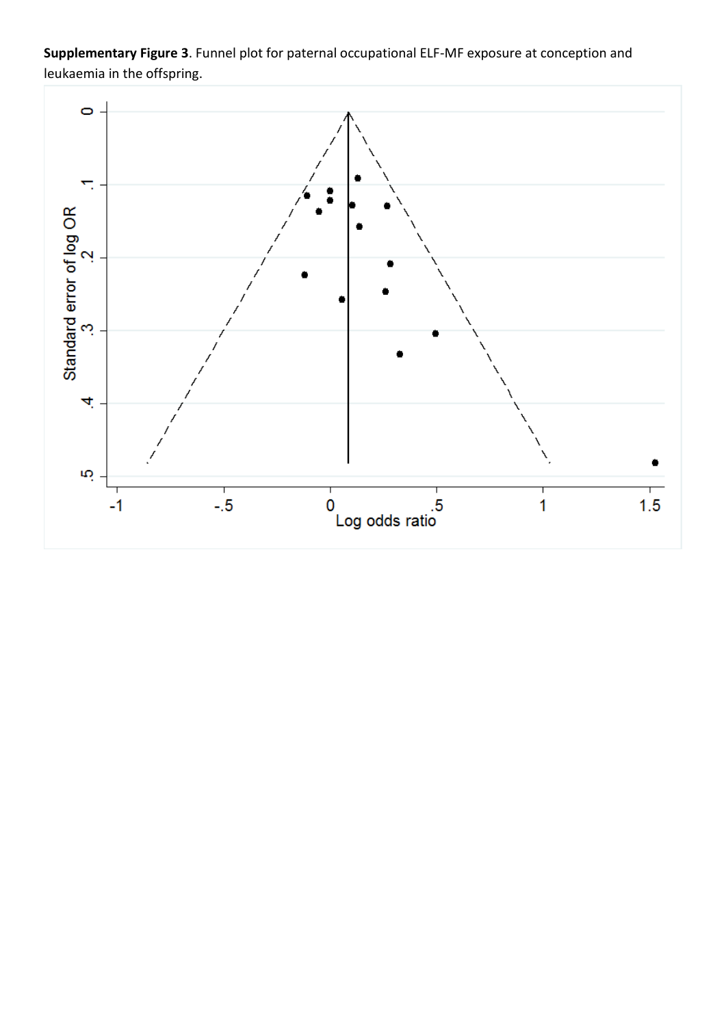**Supplementary Figure 3**. Funnel plot for paternal occupational ELF-MF exposure at conception and leukaemia in the offspring.